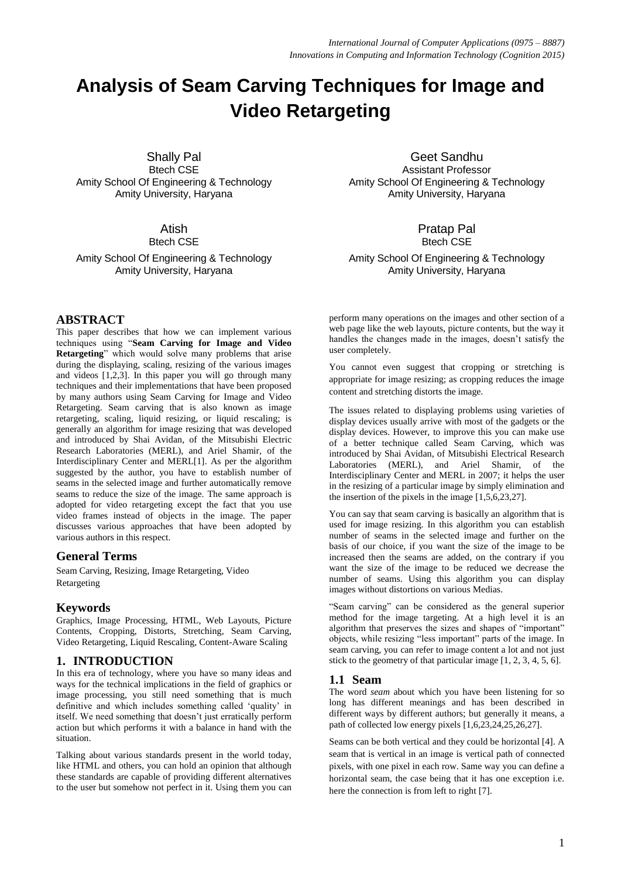# **Analysis of Seam Carving Techniques for Image and Video Retargeting**

Shally Pal Btech CSE Amity School Of Engineering & Technology Amity University, Haryana

# Atish

Btech CSE

Amity School Of Engineering & Technology Amity University, Haryana

# **ABSTRACT**

This paper describes that how we can implement various techniques using "**Seam Carving for Image and Video Retargeting**" which would solve many problems that arise during the displaying, scaling, resizing of the various images and videos  $[1,2,3]$ . In this paper you will go through many techniques and their implementations that have been proposed by many authors using Seam Carving for Image and Video Retargeting. Seam carving that is also known as image retargeting, scaling, liquid resizing, or liquid rescaling; is generally an algorithm for [image resizing](http://en.wikipedia.org/wiki/Image_scaling) that was developed and introduced by [Shai Avidan,](http://en.wikipedia.org/w/index.php?title=Shai_Avidan&action=edit&redlink=1) of the [Mitsubishi Electric](http://en.wikipedia.org/wiki/Mitsubishi_Electric_Research_Laboratories)  [Research Laboratories](http://en.wikipedia.org/wiki/Mitsubishi_Electric_Research_Laboratories) (MERL), and [Ariel Shamir,](http://en.wikipedia.org/w/index.php?title=Ariel_Shamir&action=edit&redlink=1) of the [Interdisciplinary Center](http://en.wikipedia.org/wiki/Interdisciplinary_Center) and MERL[1]. As per the algorithm suggested by the author, you have to establish number of seams in the selected image and further automatically remove seams to reduce the size of the image. The same approach is adopted for video retargeting except the fact that you use video frames instead of objects in the image. The paper discusses various approaches that have been adopted by various authors in this respect.

### **General Terms**

Seam Carving, Resizing, Image Retargeting, Video Retargeting

### **Keywords**

Graphics, Image Processing, HTML, Web Layouts, Picture Contents, Cropping, Distorts, Stretching, Seam Carving, Video Retargeting, Liquid Rescaling, Content-Aware Scaling

# **1. INTRODUCTION**

In this era of technology, where you have so many ideas and ways for the technical implications in the field of graphics or image processing, you still need something that is much definitive and which includes something called 'quality' in itself. We need something that doesn't just erratically perform action but which performs it with a balance in hand with the situation.

Talking about various standards present in the world today, like HTML and others, you can hold an opinion that although these standards are capable of providing different alternatives to the user but somehow not perfect in it. Using them you can

Geet Sandhu Assistant Professor Amity School Of Engineering & Technology Amity University, Haryana

## Pratap Pal Btech CSE

Amity School Of Engineering & Technology Amity University, Haryana

perform many operations on the images and other section of a web page like the web layouts, picture contents, but the way it handles the changes made in the images, doesn't satisfy the user completely.

You cannot even suggest that cropping or stretching is appropriate for image resizing; as cropping reduces the image content and stretching distorts the image.

The issues related to displaying problems using varieties of display devices usually arrive with most of the gadgets or the display devices. However, to improve this you can make use of a better technique called Seam Carving, which was introduced by Shai Avidan, of Mitsubishi Electrical Research Laboratories (MERL), and Ariel Shamir, of the Interdisciplinary Center and MERL in 2007; it helps the user in the resizing of a particular image by simply elimination and the insertion of the pixels in the image [1,5,6,23,27].

You can say that seam carving is basically an algorithm that is used for image resizing. In this algorithm you can establish number of seams in the selected image and further on the basis of our choice, if you want the size of the image to be increased then the seams are added, on the contrary if you want the size of the image to be reduced we decrease the number of seams. Using this algorithm you can display images without distortions on various Medias.

"Seam carving" can be considered as the general superior method for the image targeting. At a high level it is an algorithm that preserves the sizes and shapes of "important" objects, while resizing "less important" parts of the image. In seam carving, you can refer to image content a lot and not just stick to the geometry of that particular image [1, 2, 3, 4, 5, 6].

### **1.1 Seam**

The word *seam* about which you have been listening for so long has different meanings and has been described in different ways by different authors; but generally it means, a path of collected low energy pixels [1,6,23,24,25,26,27].

Seams can be both vertical and they could be horizontal [4]. A seam that is vertical in an image is vertical path of connected pixels, with one pixel in each row. Same way you can define a horizontal seam, the case being that it has one exception i.e. here the connection is from left to right [7].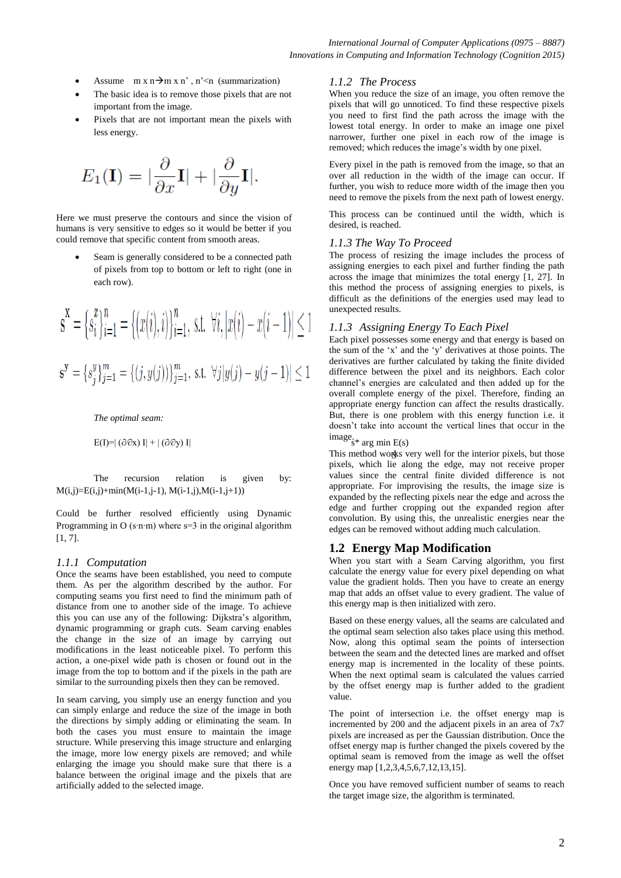- Assume  $m \times n \rightarrow m \times n'$ , n'  $m \times n$  (summarization)
- The basic idea is to remove those pixels that are not important from the image.
- Pixels that are not important mean the pixels with less energy.

$$
E_1(\mathbf{I}) = |\frac{\partial}{\partial x}\mathbf{I}| + |\frac{\partial}{\partial y}\mathbf{I}|.
$$

Here we must preserve the contours and since the vision of humans is very sensitive to edges so it would be better if you could remove that specific content from smooth areas.

 Seam is generally considered to be a connected path of pixels from top to bottom or left to right (one in each row).

$$
\mathbf{s}^{\mathbf{x}} = \{s_i^x\}_{i=1}^n = \{(x(i), i)\}_{i=1}^n, \text{ s.t. } \forall i, |x(i) - x(i-1)| \le 1
$$
  

$$
\mathbf{s}^{\mathbf{y}} = \{s_j^y\}_{j=1}^m = \{(j, y(j))\}_{j=1}^m, \text{ s.t. } \forall j | y(j) - y(j-1)| \le 1
$$

*The optimal seam:*

$$
E(I) = |(\partial \partial x) I| + |(\partial \partial y) I|
$$
 image.  
<sub>s\*</sub> arg min E(s)

The recursion relation is given by:  $M(i,j)=E(i,j)+min(M(i-1,j-1), M(i-1,j),M(i-1,j+1))$ 

Could be further resolved efficiently using Dynamic Programming in O (s∙n∙m) where s=3 in the original algorithm [1, 7].

#### *1.1.1 Computation*

Once the seams have been established, you need to compute them. As per the algorithm described by the author. For computing seams you first need to find the minimum path of distance from one to another side of the image. To achieve this you can use any of the following: [Dijkstra's algorithm,](file:///D:/Documents%20and%20Settings/Administrator/Sheli/Google%20Drive/Desktop/SEAM%20CARVING/Dijkstra)  [dynamic programming](file:///D:/Documents%20and%20Settings/Administrator/Sheli/Google%20Drive/Desktop/SEAM%20CARVING/Dynamic%20programming.docx) or graph cuts. Seam carving enables the change in the size of an image by carrying out modifications in the least noticeable pixel. To perform this action, a one-pixel wide path is chosen or found out in the image from the top to bottom and if the pixels in the path are similar to the surrounding pixels then they can be removed.

In seam carving, you simply use an energy function and you can simply enlarge and reduce the size of the image in both the directions by simply adding or eliminating the seam. In both the cases you must ensure to maintain the image structure. While preserving this image structure and enlarging the image, more low energy pixels are removed; and while enlarging the image you should make sure that there is a balance between the original image and the pixels that are artificially added to the selected image.

#### *1.1.2 The Process*

When you reduce the size of an image, you often remove the pixels that will go unnoticed. To find these respective pixels you need to first find the path across the image with the lowest total energy. In order to make an image one pixel narrower, further one pixel in each row of the image is removed; which reduces the image's width by one pixel.

Every pixel in the path is removed from the image, so that an over all reduction in the width of the image can occur. If further, you wish to reduce more width of the image then you need to remove the pixels from the next path of lowest energy.

This process can be continued until the width, which is desired, is reached.

#### *1.1.3 The Way To Proceed*

The process of resizing the image includes the process of assigning energies to each pixel and further finding the path across the image that minimizes the total energy [1, 27]. In this method the process of assigning energies to pixels, is difficult as the definitions of the energies used may lead to unexpected results.

#### *1.1.3 Assigning Energy To Each Pixel*

Each pixel possesses some energy and that energy is based on the sum of the 'x' and the 'y' derivatives at those points. The derivatives are further calculated by taking the finite divided difference between the pixel and its neighbors. Each color channel's energies are calculated and then added up for the overall complete energy of the pixel. Therefore, finding an appropriate energy function can affect the results drastically. But, there is one problem with this energy function i.e. it doesn't take into account the vertical lines that occur in the

This method works very well for the interior pixels, but those pixels, which lie along the edge, may not receive proper values since the central finite divided difference is not appropriate. For improvising the results, the image size is expanded by the reflecting pixels near the edge and across the edge and further cropping out the expanded region after convolution. By using this, the unrealistic energies near the edges can be removed without adding much calculation.

### **1.2 Energy Map Modification**

When you start with a Seam Carving algorithm, you first calculate the energy value for every pixel depending on what value the gradient holds. Then you have to create an energy map that adds an offset value to every gradient. The value of this energy map is then initialized with zero.

Based on these energy values, all the seams are calculated and the optimal seam selection also takes place using this method. Now, along this optimal seam the points of intersection between the seam and the detected lines are marked and offset energy map is incremented in the locality of these points. When the next optimal seam is calculated the values carried by the offset energy map is further added to the gradient value.

The point of intersection i.e. the offset energy map is incremented by 200 and the adjacent pixels in an area of  $7x7$ pixels are increased as per the Gaussian distribution. Once the offset energy map is further changed the pixels covered by the optimal seam is removed from the image as well the offset energy map [1,2,3,4,5,6,7,12,13,15].

Once you have removed sufficient number of seams to reach the target image size, the algorithm is terminated.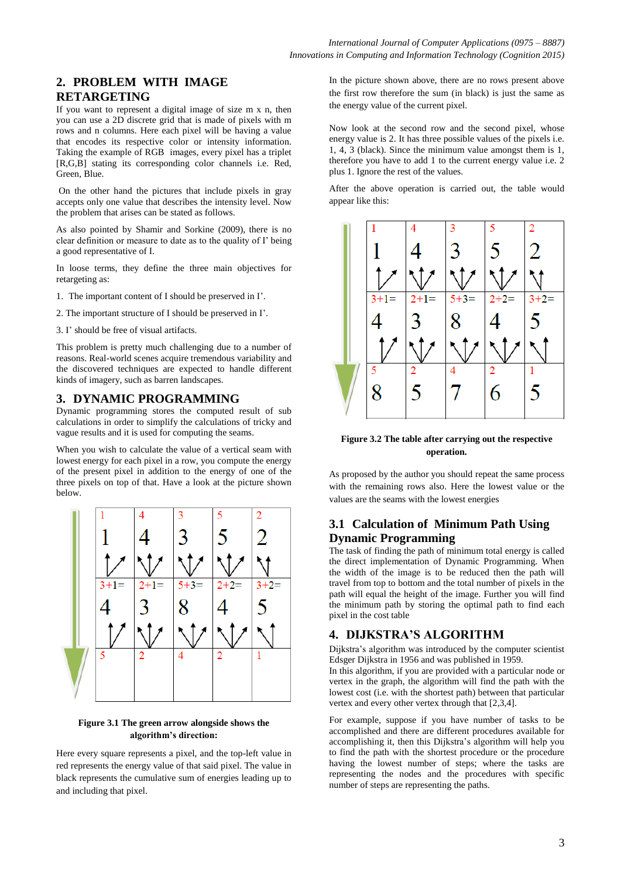# **2. PROBLEM WITH IMAGE RETARGETING**

If you want to represent a digital image of size m x n, then you can use a 2D discrete grid that is made of pixels with m rows and n columns. Here each pixel will be having a value that encodes its respective color or intensity information. Taking the example of RGB images, every pixel has a triplet [R,G,B] stating its corresponding color channels i.e. Red, Green, Blue.

On the other hand the pictures that include pixels in gray accepts only one value that describes the intensity level. Now the problem that arises can be stated as follows.

As also pointed by Shamir and Sorkine (2009), there is no clear definition or measure to date as to the quality of I' being a good representative of I.

In loose terms, they define the three main objectives for retargeting as:

1. The important content of I should be preserved in I'.

2. The important structure of I should be preserved in I'.

3. I' should be free of visual artifacts.

This problem is pretty much challenging due to a number of reasons. Real-world scenes acquire tremendous variability and the discovered techniques are expected to handle different kinds of imagery, such as barren landscapes.

### **3. DYNAMIC PROGRAMMING**

Dynamic programming stores the computed result of sub calculations in order to simplify the calculations of tricky and vague results and it is used for computing the seams.

When you wish to calculate the value of a vertical seam with lowest energy for each pixel in a row, you compute the energy of the present pixel in addition to the energy of one of the three pixels on top of that. Have a look at the picture shown below.



### **Figure 3.1 The green arrow alongside shows the algorithm's direction:**

Here every square represents a pixel, and the top-left value in red represents the energy value of that said pixel. The value in black represents the cumulative sum of energies leading up to and including that pixel.

In the picture shown above, there are no rows present above the first row therefore the sum (in black) is just the same as the energy value of the current pixel.

Now look at the second row and the second pixel, whose energy value is 2. It has three possible values of the pixels i.e. 1, 4, 3 (black). Since the minimum value amongst them is 1, therefore you have to add 1 to the current energy value i.e. 2 plus 1. Ignore the rest of the values.

After the above operation is carried out, the table would appear like this:



**Figure 3.2 The table after carrying out the respective operation.**

As proposed by the author you should repeat the same process with the remaining rows also. Here the lowest value or the values are the seams with the lowest energies

# **3.1 Calculation of Minimum Path Using Dynamic Programming**

The task of finding the path of minimum total energy is called the direct implementation of Dynamic Programming. When the width of the image is to be reduced then the path will travel from top to bottom and the total number of pixels in the path will equal the height of the image. Further you will find the minimum path by storing the optimal path to find each pixel in the cost table

# **4. DIJKSTRA'S ALGORITHM**

Dijkstra's algorithm was introduced by the computer scientist Edsger Dijkstra in 1956 and was published in 1959.

In this algorithm, if you are provided with a particular node or vertex in the graph, the algorithm will find the path with the lowest cost (i.e. with the shortest path) between that particular vertex and every other vertex through that [2,3,4].

For example, suppose if you have number of tasks to be accomplished and there are different procedures available for accomplishing it, then this Dijkstra's algorithm will help you to find the path with the shortest procedure or the procedure having the lowest number of steps; where the tasks are representing the nodes and the procedures with specific number of steps are representing the paths.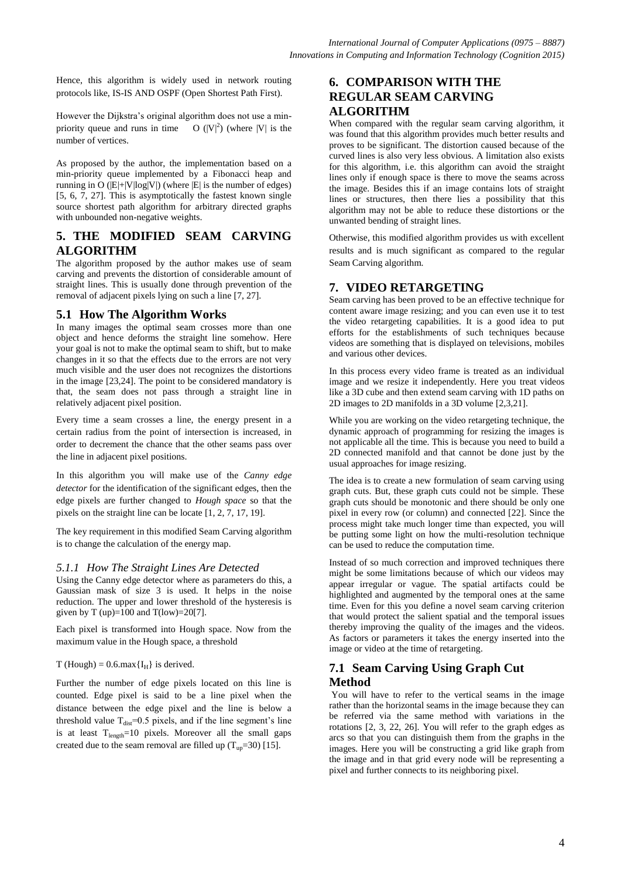Hence, this algorithm is widely used in network routing protocols like, IS-IS AND OSPF (Open Shortest Path First).

However the Dijkstra's original algorithm does not use a minpriority queue and runs in time  $O(|V|^2)$  (where |V| is the number of vertices.

As proposed by the author, the implementation based on a min-priority queue implemented by a Fibonacci heap and running in O  $(|E|+|V|log|V|)$  (where  $|E|$  is the number of edges) [5, 6, 7, 27]. This is asymptotically the fastest known single source shortest path algorithm for arbitrary directed graphs with unbounded non-negative weights.

# **5. THE MODIFIED SEAM CARVING ALGORITHM**

The algorithm proposed by the author makes use of seam carving and prevents the distortion of considerable amount of straight lines. This is usually done through prevention of the removal of adjacent pixels lying on such a line [7, 27].

# **5.1 How The Algorithm Works**

In many images the optimal seam crosses more than one object and hence deforms the straight line somehow. Here your goal is not to make the optimal seam to shift, but to make changes in it so that the effects due to the errors are not very much visible and the user does not recognizes the distortions in the image [23,24]. The point to be considered mandatory is that, the seam does not pass through a straight line in relatively adjacent pixel position.

Every time a seam crosses a line, the energy present in a certain radius from the point of intersection is increased, in order to decrement the chance that the other seams pass over the line in adjacent pixel positions.

In this algorithm you will make use of the *Canny edge detector* for the identification of the significant edges, then the edge pixels are further changed to *Hough space* so that the pixels on the straight line can be locate [1, 2, 7, 17, 19].

The key requirement in this modified Seam Carving algorithm is to change the calculation of the energy map.

### *5.1.1 How The Straight Lines Are Detected*

Using the Canny edge detector where as parameters do this, a Gaussian mask of size 3 is used. It helps in the noise reduction. The upper and lower threshold of the hysteresis is given by T (up)= $100$  and T(low)= $20[7]$ .

Each pixel is transformed into Hough space. Now from the maximum value in the Hough space, a threshold

### T (Hough) =  $0.6$  max ${I_H}$  is derived.

Further the number of edge pixels located on this line is counted. Edge pixel is said to be a line pixel when the distance between the edge pixel and the line is below a threshold value  $T_{dist}=0.5$  pixels, and if the line segment's line is at least  $T_{length}$ =10 pixels. Moreover all the small gaps created due to the seam removal are filled up  $(T_{up}=30)$  [15].

# **6. COMPARISON WITH THE REGULAR SEAM CARVING ALGORITHM**

When compared with the regular seam carving algorithm, it was found that this algorithm provides much better results and proves to be significant. The distortion caused because of the curved lines is also very less obvious. A limitation also exists for this algorithm, i.e. this algorithm can avoid the straight lines only if enough space is there to move the seams across the image. Besides this if an image contains lots of straight lines or structures, then there lies a possibility that this algorithm may not be able to reduce these distortions or the unwanted bending of straight lines.

Otherwise, this modified algorithm provides us with excellent results and is much significant as compared to the regular Seam Carving algorithm.

# **7. VIDEO RETARGETING**

Seam carving has been proved to be an effective technique for content aware image resizing; and you can even use it to test the video retargeting capabilities. It is a good idea to put efforts for the establishments of such techniques because videos are something that is displayed on televisions, mobiles and various other devices.

In this process every video frame is treated as an individual image and we resize it independently. Here you treat videos like a 3D cube and then extend seam carving with 1D paths on 2D images to 2D manifolds in a 3D volume [2,3,21].

While you are working on the video retargeting technique, the dynamic approach of programming for resizing the images is not applicable all the time. This is because you need to build a 2D connected manifold and that cannot be done just by the usual approaches for image resizing.

The idea is to create a new formulation of seam carving using graph cuts. But, these graph cuts could not be simple. These graph cuts should be monotonic and there should be only one pixel in every row (or column) and connected [22]. Since the process might take much longer time than expected, you will be putting some light on how the multi-resolution technique can be used to reduce the computation time.

Instead of so much correction and improved techniques there might be some limitations because of which our videos may appear irregular or vague. The spatial artifacts could be highlighted and augmented by the temporal ones at the same time. Even for this you define a novel seam carving criterion that would protect the salient spatial and the temporal issues thereby improving the quality of the images and the videos. As factors or parameters it takes the energy inserted into the image or video at the time of retargeting.

# **7.1 Seam Carving Using Graph Cut Method**

You will have to refer to the vertical seams in the image rather than the horizontal seams in the image because they can be referred via the same method with variations in the rotations [2, 3, 22, 26]. You will refer to the graph edges as arcs so that you can distinguish them from the graphs in the images. Here you will be constructing a grid like graph from the image and in that grid every node will be representing a pixel and further connects to its neighboring pixel.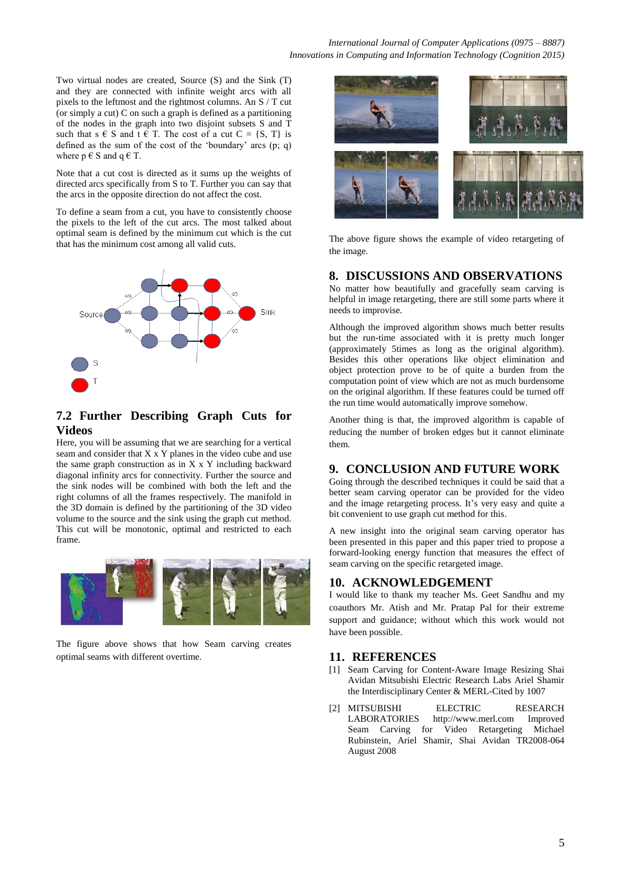Two virtual nodes are created, Source (S) and the Sink (T) and they are connected with infinite weight arcs with all pixels to the leftmost and the rightmost columns. An S / T cut (or simply a cut) C on such a graph is defined as a partitioning of the nodes in the graph into two disjoint subsets S and T such that  $s \in S$  and  $t \in T$ . The cost of a cut  $C = \{S, T\}$  is defined as the sum of the cost of the 'boundary' arcs (p; q) where  $p \in S$  and  $q \in T$ .

Note that a cut cost is directed as it sums up the weights of directed arcs specifically from S to T. Further you can say that the arcs in the opposite direction do not affect the cost.

To define a seam from a cut, you have to consistently choose the pixels to the left of the cut arcs. The most talked about optimal seam is defined by the minimum cut which is the cut that has the minimum cost among all valid cuts.



# **7.2 Further Describing Graph Cuts for Videos**

Here, you will be assuming that we are searching for a vertical seam and consider that X x Y planes in the video cube and use the same graph construction as in X x Y including backward diagonal infinity arcs for connectivity. Further the source and the sink nodes will be combined with both the left and the right columns of all the frames respectively. The manifold in the 3D domain is defined by the partitioning of the 3D video volume to the source and the sink using the graph cut method. This cut will be monotonic, optimal and restricted to each frame.



The figure above shows that how Seam carving creates optimal seams with different overtime.



The above figure shows the example of video retargeting of the image.

### **8. DISCUSSIONS AND OBSERVATIONS**

No matter how beautifully and gracefully seam carving is helpful in image retargeting, there are still some parts where it needs to improvise.

Although the improved algorithm shows much better results but the run-time associated with it is pretty much longer (approximately 5times as long as the original algorithm). Besides this other operations like object elimination and object protection prove to be of quite a burden from the computation point of view which are not as much burdensome on the original algorithm. If these features could be turned off the run time would automatically improve somehow.

Another thing is that, the improved algorithm is capable of reducing the number of broken edges but it cannot eliminate them.

### **9. CONCLUSION AND FUTURE WORK**

Going through the described techniques it could be said that a better seam carving operator can be provided for the video and the image retargeting process. It's very easy and quite a bit convenient to use graph cut method for this.

A new insight into the original seam carving operator has been presented in this paper and this paper tried to propose a forward-looking energy function that measures the effect of seam carving on the specific retargeted image.

### **10. ACKNOWLEDGEMENT**

I would like to thank my teacher Ms. Geet Sandhu and my coauthors Mr. Atish and Mr. Pratap Pal for their extreme support and guidance; without which this work would not have been possible.

### **11. REFERENCES**

- [1] Seam Carving for Content-Aware Image Resizing Shai Avidan Mitsubishi Electric Research Labs Ariel Shamir the Interdisciplinary Center & MERL-Cited by 1007
- [2] MITSUBISHI ELECTRIC RESEARCH LABORATORIES http://www.merl.com Improved Seam Carving for Video Retargeting Michael Rubinstein, Ariel Shamir, Shai Avidan TR2008-064 August 2008